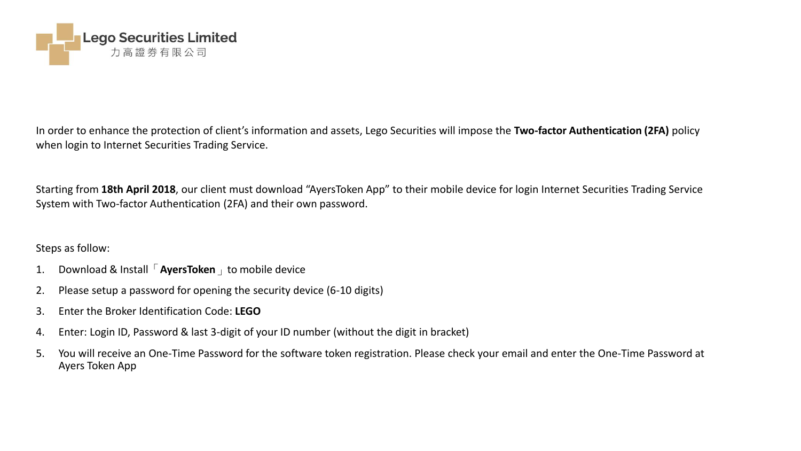

In order to enhance the protection of client's information and assets, Lego Securities will impose the **Two-factor Authentication (2FA)** policy when login to Internet Securities Trading Service.

Starting from **18th April 2018**, our client must download "AyersToken App" to their mobile device for login Internet Securities Trading Service System with Two-factor Authentication (2FA) and their own password.

## Steps as follow:

- 1. Download & Install「**AyersToken**」to mobile device
- 2. Please setup a password for opening the security device (6-10 digits)
- 3. Enter the Broker Identification Code: **LEGO**
- 4. Enter: Login ID, Password & last 3-digit of your ID number (without the digit in bracket)
- 5. You will receive an One-Time Password for the software token registration. Please check your email and enter the One-Time Password at Ayers Token App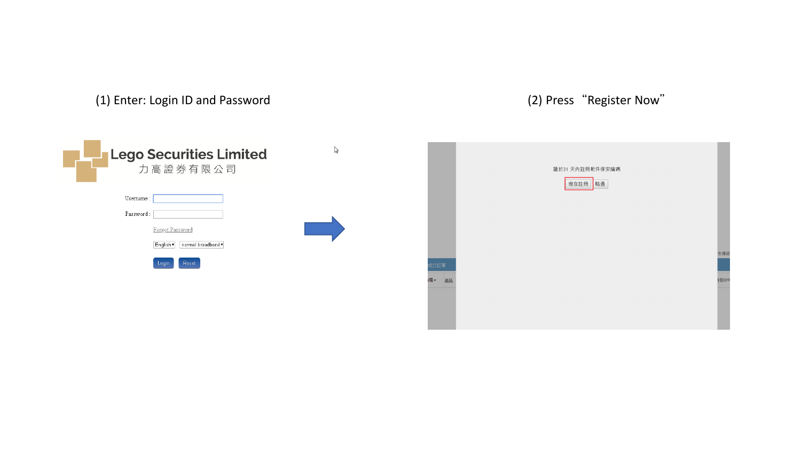(1) Enter: Login ID and Password (2) Press "Register Now"

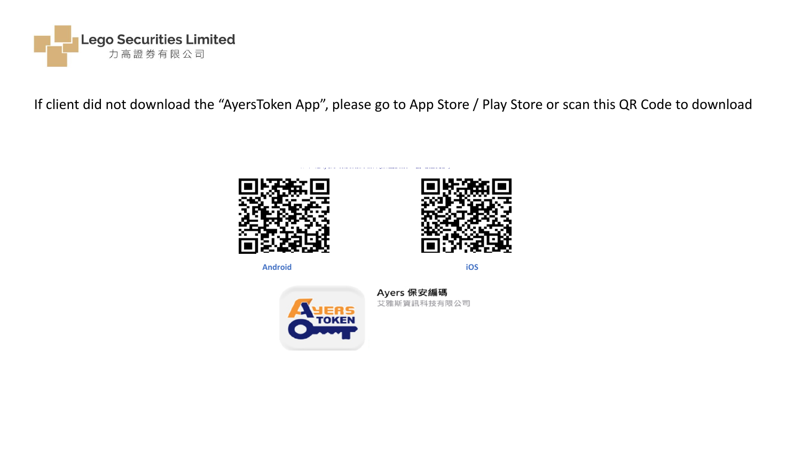

If client did not download the "AyersToken App", please go to App Store / Play Store or scan this QR Code to download





**Android iOS**



Ayers 保安編碼 艾雅斯資訊科技有限公司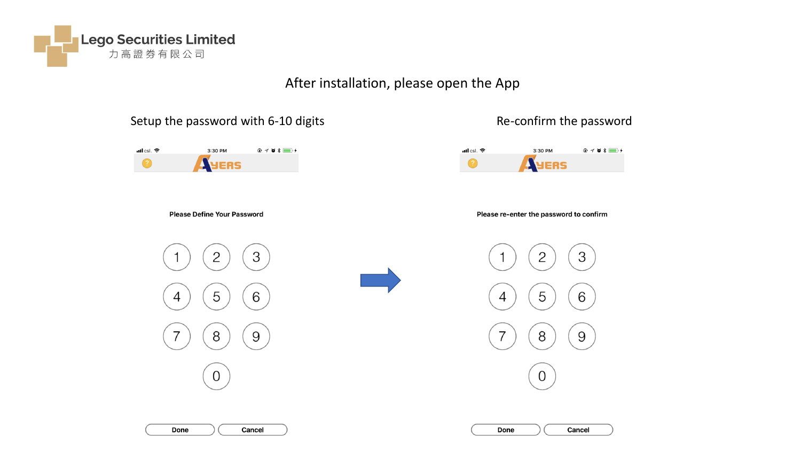

# After installation, please open the App

## Setup the password with 6-10 digits Setup the password Re-confirm the password





**Please Define Your Password** 









**Cancel** 

Done

| Done |
|------|
|------|

Cancel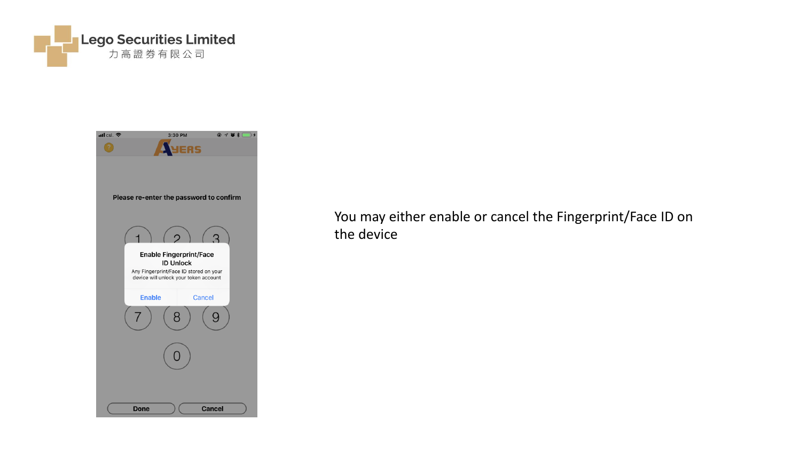



You may either enable or cancel the Fingerprint/Face ID on the device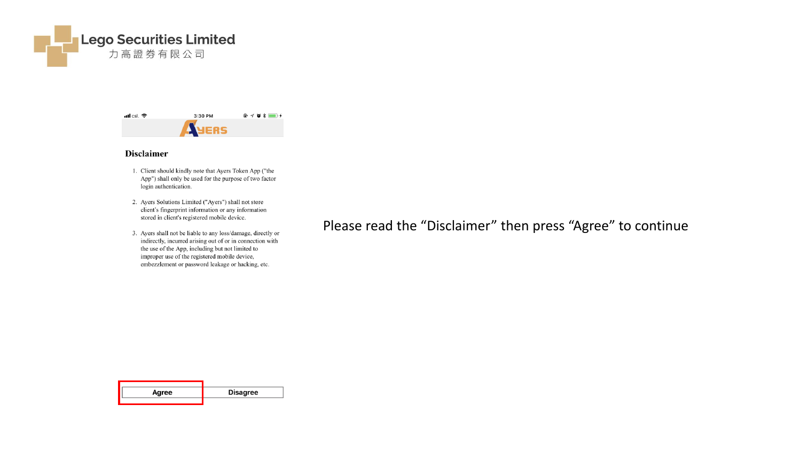



### **Disclaimer**

- 1. Client should kindly note that Ayers Token App ("the App") shall only be used for the purpose of two factor login authentication.
- 2. Ayers Solutions Limited ("Ayers") shall not store client's fingerprint information or any information stored in client's registered mobile device.
- 3. Ayers shall not be liable to any loss/damage, directly or indirectly, incurred arising out of or in connection with the use of the App, including but not limited to improper use of the registered mobile device, embezzlement or password leakage or hacking, etc.

Please read the "Disclaimer" then press "Agree" to continue

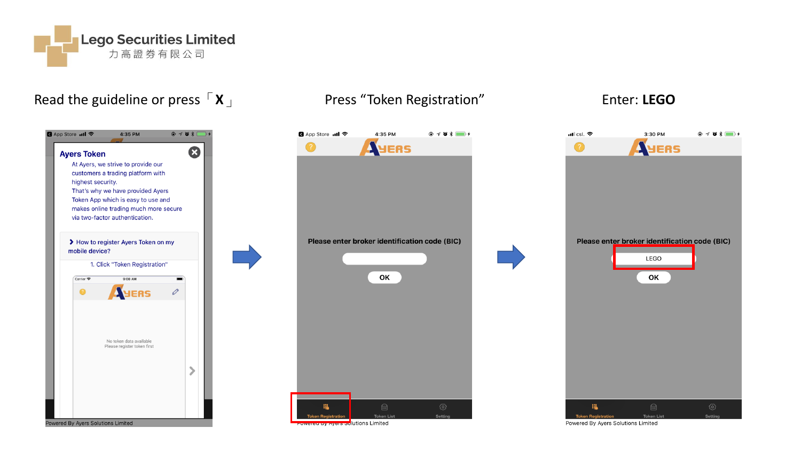

# Read the guideline or press  $\begin{bmatrix} x \end{bmatrix}$  Press "Token Registration" Enter: LEGO





| ull csl. ক                     | 3:30 PM                                       | $Q \not\sim Q \not\sim E$ |
|--------------------------------|-----------------------------------------------|---------------------------|
| ?                              | ERS                                           |                           |
|                                |                                               |                           |
|                                |                                               |                           |
|                                |                                               |                           |
|                                |                                               |                           |
|                                |                                               |                           |
|                                |                                               |                           |
|                                |                                               |                           |
|                                | Please enter broker identification code (BIC) |                           |
|                                |                                               |                           |
|                                | LEGO                                          |                           |
|                                | OK                                            |                           |
|                                |                                               |                           |
|                                |                                               |                           |
|                                |                                               |                           |
|                                |                                               |                           |
|                                |                                               |                           |
|                                |                                               |                           |
|                                |                                               |                           |
|                                |                                               |                           |
|                                |                                               |                           |
|                                |                                               |                           |
|                                |                                               |                           |
|                                |                                               |                           |
| 腽<br><b>Token Registration</b> | $\bigoplus$<br><b>Token List</b>              | ශ<br>Setting              |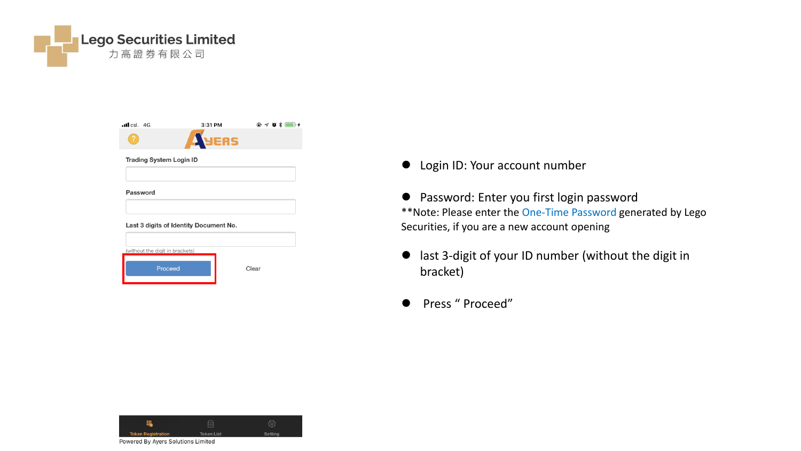

| $\cdot$ ll csl. 4G | 3:31 PM      | $@ 701 \qquad \qquad \bullet$ |
|--------------------|--------------|-------------------------------|
| 7                  | <b>ANERS</b> |                               |

### **Trading System Login ID**

Password

### Last 3 digits of Identity Document No.

| (without the digit in brackets) |       |
|---------------------------------|-------|
|                                 |       |
| Proceed                         | Clear |
|                                 |       |

Login ID: Your account number

 Password: Enter you first login password \*\*Note: Please enter the One-Time Password generated by Lego Securities, if you are a new account opening

- last 3-digit of your ID number (without the digit in bracket)
- Press " Proceed"

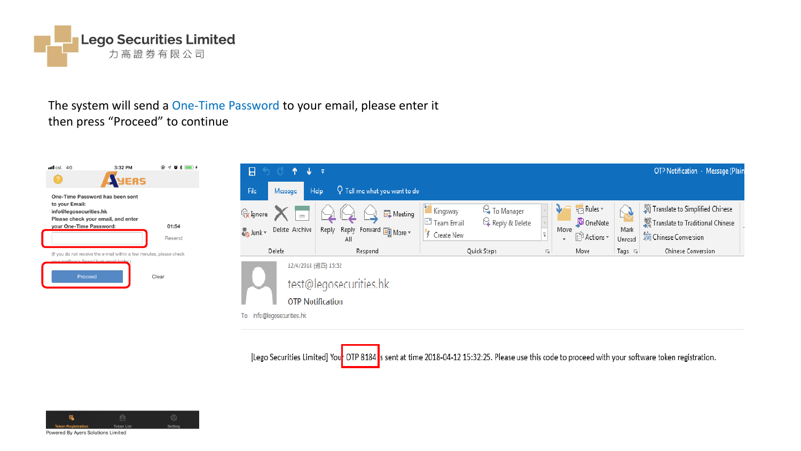

## The system will send a One-Time Password to your email, please enter it then press "Proceed" to continue





[Lego Securities Limited] Your OTP 8184 s sent at time 2018-04-12 15:32:25. Please use this code to proceed with your software token registration.

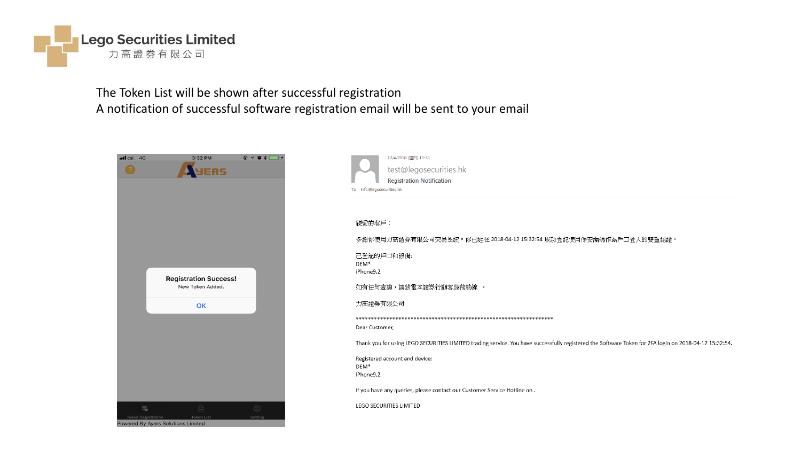

The Token List will be shown after successful registration A notification of successful software registration email will be sent to your email

| $nll$ csl. $4G$ |                           | 3:32 PM                      | @701<br>$\overline{\mathbf{r}}$ |
|-----------------|---------------------------|------------------------------|---------------------------------|
|                 |                           | ERS                          |                                 |
|                 |                           |                              |                                 |
|                 |                           |                              |                                 |
|                 |                           |                              |                                 |
|                 |                           |                              |                                 |
|                 |                           |                              |                                 |
|                 |                           |                              |                                 |
|                 |                           |                              |                                 |
|                 |                           |                              |                                 |
|                 |                           |                              |                                 |
|                 |                           |                              |                                 |
|                 |                           | <b>Registration Success!</b> |                                 |
|                 |                           | New Token Added.             |                                 |
|                 |                           |                              |                                 |
|                 |                           | OK                           |                                 |
|                 |                           |                              |                                 |
|                 |                           |                              |                                 |
|                 |                           |                              |                                 |
|                 |                           |                              |                                 |
|                 |                           |                              |                                 |
|                 |                           |                              |                                 |
|                 |                           |                              |                                 |
|                 |                           |                              |                                 |
|                 |                           |                              |                                 |
|                 | 鴞                         | $\bigcap_{i=1}^n$            | €                               |
|                 | <b>Token Registration</b> | <b>Token List</b>            | Setting                         |



親愛的客戶:

多謝你使用力高證券有限公司交易系統。你已經在 2018-04-12 15:32:54 成功登記使用保安編碼作為戶口登入的雙重認證。

己登記的戶口和設備 DEM\* iPhone9,2

如有任何查詢,請致電本證券行顧客服務熱線 。

力高證券有限公司

Dear Customer,

Thank you for using LEGO SECURITIES LIMITED trading service. You have successfully registered the Software Token for 2FA login on 2018-04-12 15:32:54.

Registered account and device: DEM\* iPhone9,2

If you have any queries, please contact our Customer Service Hotline on.

LEGO SECURITIES LIMITED